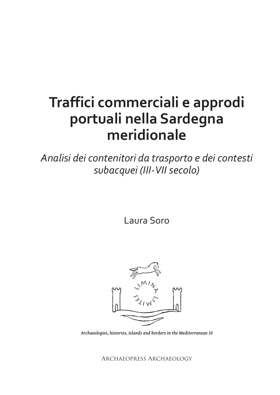# **Traffici commerciali e approdi portuali nella Sardegna meridionale**

*Analisi dei contenitori da trasporto e dei contesti subacquei (III-VII secolo)*

Laura Soro



*Archaeologies, histories, islands and borders in the Mediterranean 10*

Archaeopress Archaeology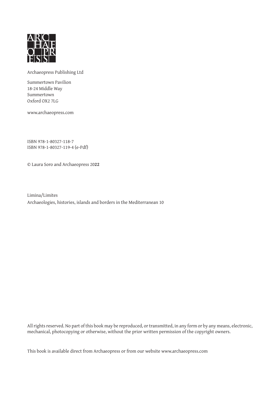

Archaeopress Publishing Ltd

Summertown Pavilion 18-24 Middle Way Summertown Oxford OX2 7LG

www.archaeopress.com

ISBN 978-1-80327-118-7 ISBN 978-1-80327-119-4 (e-Pdf)

© Laura Soro and Archaeopress 20**22**

Limina/Limites Archaeologies, histories, islands and borders in the Mediterranean 10

All rights reserved. No part of this book may be reproduced, or transmitted, in any form or by any means, electronic, mechanical, photocopying or otherwise, without the prior written permission of the copyright owners.

This book is available direct from Archaeopress or from our website www.archaeopress.com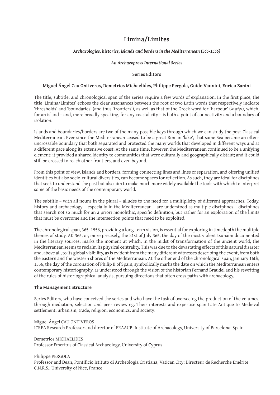# **Limina/Limites**

#### *Archaeologies, histories, islands and borders in the Mediterranean (365-1556)*

#### *An Archaeopress International Series*

#### **Series Editors**

#### **Miguel Ángel Cau Ontiveros, Demetrios Michaelides, Philippe Pergola, Guido Vannini, Enrico Zanini**

The title, subtitle, and chronological span of the series require a few words of explanation. In the first place, the title 'Limina/Limites' echoes the clear assonances between the root of two Latin words that respectively indicate 'thresholds' and 'boundaries' (and thus 'frontiers'), as well as that of the Greek word for 'harbour' (λιμήν), which, for an island – and, more broadly speaking, for any coastal city – is both a point of connectivity and a boundary of isolation.

Islands and boundaries/borders are two of the many possible keys through which we can study the post-Classical Mediterranean. Ever since the Mediterranean ceased to be a great Roman 'lake', that same Sea became an oftenuncrossable boundary that both separated and protected the many worlds that developed in different ways and at a different pace along its extensive coast. At the same time, however, the Mediterranean continued to be a unifying element: it provided a shared identity to communities that were culturally and geographically distant; and it could still be crossed to reach other frontiers, and even beyond.

From this point of view, islands and borders, forming connecting lines and lines of separation, and offering unified identities but also socio-cultural diversities, can become spaces for reflection. As such, they are ideal for disciplines that seek to understand the past but also aim to make much more widely available the tools with which to interpret some of the basic needs of the contemporary world.

The subtitle – with all nouns in the plural – alludes to the need for a multiplicity of different approaches. Today, history and archaeology – especially in the Mediterranean – are understood as multiple disciplines – disciplines that search not so much for an a priori monolithic, specific definition, but rather for an exploration of the limits that must be overcome and the intersection points that need to be exploited.

The chronological span, 365–1556, providing a long-term vision, is essential for exploring in timedepth the multiple themes of study. AD 365, or, more precisely, the 21st of July 365, the day of the most violent tsunami documented in the literary sources, marks the moment at which, in the midst of transformation of the ancient world, the Mediterranean seems to reclaim its physical centrality. This was due to the devastating effects of this natural disaster and, above all, to its global visibility, as is evident from the many different witnesses describing the event, from both the eastern and the western shores of the Mediterranean. At the other end of the chronological span, January 16th, 1556, the day of the coronation of Philip II of Spain, symbolically marks the date on which the Mediterranean enters contemporary historiography, as understood through the vision of the historian Fernand Braudel and his rewriting of the rules of historiographical analysis, pursuing directions that often cross paths with archaeology.

#### **The Management Structure**

Series Editors, who have conceived the series and who have the task of overseeing the production of the volumes, through mediation, selection and peer reviewing. Their interests and expertise span Late Antique to Medieval settlement, urbanism, trade, religion, economics, and society:

Miguel Ángel CAU ONTIVEROS ICREA Research Professor and director of ERAAUB, Institute of Archaeology, University of Barcelona, Spain

Demetrios MICHAELIDES Professor Emeritus of Classical Archaeology, University of Cyprus

Philippe PERGOLA

Professor and Dean, Pontificio Istituto di Archeologia Cristiana, Vatican City; Directeur de Recherche Emérite C.N.R.S., University of Nice, France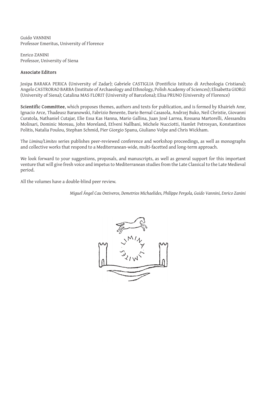Guido VANNINI Professor Emeritus, University of Florence

Enrico ZANINI Professor, University of Siena

#### **Associate Editors**

Josipa BARAKA PERICA (University of Zadar); Gabriele CASTIGLIA (Pontificio Istituto di Archeologia Cristiana); Angelo CASTRORAO BARBA (Institute of Archaeology and Ethnology, Polish Academy of Sciences); Elisabetta GIORGI (University of Siena); Catalina MAS FLORIT (University of Barcelona); Elisa PRUNO (University of Florence)

**Scientific Committee**, which proposes themes, authors and texts for publication, and is formed by Khairieh Amr, Ignacio Arce, Thadeusz Baranowski, Fabrizio Benente, Dario Bernal Casasola, Andrzej Buko, Neil Christie, Giovanni Curatola, Nathaniel Cutajar, Elie Essa Kas Hanna, Mario Gallina, Juan José Larrea, Rossana Martorelli, Alessandra Molinari, Dominic Moreau, John Moreland, Etlveni Nallbani, Michele Nucciotti, Hamlet Petrosyan, Konstantinos Politis, Natalia Poulou, Stephan Schmid, Pier Giorgio Spanu, Giuliano Volpe and Chris Wickham.

The *Limina/Limites* series publishes peer-reviewed conference and workshop proceedings, as well as monographs and collective works that respond to a Mediterranean-wide, multi-facetted and long-term approach.

We look forward to your suggestions, proposals, and manuscripts, as well as general support for this important venture that will give fresh voice and impetus to Mediterranean studies from the Late Classical to the Late Medieval period.

All the volumes have a double-blind peer review.

*Miguel Ángel Cau Ontiveros, Demetrios Michaelides, Philippe Pergola, Guido Vannini, Enrico Zanini* 

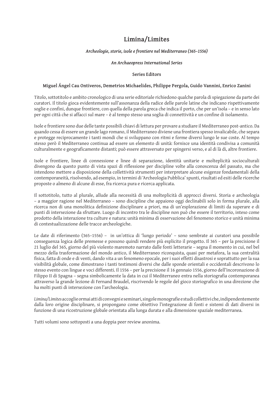## **Limina/Limites**

#### *Archeologie, storie, isole e frontiere nel Mediterraneo (365–1556)*

#### *An Archaeopress International Series*

#### **Series Editors**

#### **Miguel Ángel Cau Ontiveros, Demetrios Michaelides, Philippe Pergola, Guido Vannini, Enrico Zanini**

Titolo, sottotitolo e ambito cronologico di una serie editoriale richiedono qualche parola di spiegazione da parte dei curatori. Il titolo gioca evidentemente sull'assonanza della radice delle parole latine che indicano rispettivamente soglie e confini, dunque frontiere, con quella della parola greca che indica il porto, che per un'isola – e in senso lato per ogni città che si affacci sul mare – è al tempo stesso una soglia di connettività e un confine di isolamento.

Isole e frontiere sono due delle tante possibili chiavi di lettura per provare a studiare il Mediterraneo post-antico. Da quando cessa di essere un grande lago romano, il Mediterraneo diviene una frontiera spesso invalicabile, che separa e protegge reciprocamente i tanti mondi che si sviluppano con ritmi e forme diversi lungo le sue coste. Al tempo stesso però il Mediterraneo continua ad essere un elemento di unità: fornisce una identità condivisa a comunità culturalmente e geograficamente distanti; può essere attraversato per spingersi verso, e al di là di, altre frontiere.

Isole e frontiere, linee di connessione e linee di separazione, identità unitarie e molteplicità socioculturali divengono da questo punto di vista spazi di riflessione per discipline volte alla conoscenza del passato, ma che intendono mettere a disposizione della collettività strumenti per interpretare alcune esigenze fondamentali della contemporaneità, risolvendo, ad esempio, in termini di 'Archeologia Pubblica' spunti, risultati ed esiti delle ricerche proposte o almeno di alcune di esse, fra ricerca pura e ricerca applicata.

Il sottotitolo, tutto al plurale, allude alla necessità di una molteplicità di approcci diversi. Storia e archeologia – a maggior ragione nel Mediterraneo – sono discipline che appaiono oggi declinabili solo in forma plurale, alla ricerca non di una monolitica definizione disciplinare a priori, ma di un'esplorazione di limiti da superare e di punti di intersezione da sfruttare. Luogo di incontro tra le discipline non può che essere il territorio, inteso come prodotto della interazione tra culture e natura: unità minima di osservazione del fenomeno storico e unità minima di contestualizzazione delle tracce archeologiche.

Le date di riferimento (365–1556) – in un'ottica di 'lungo periodo' – sono sembrate ai curatori una possibile conseguenza logica delle premesse e possono quindi rendere più esplicito il progetto. Il 365 – per la precisione il 21 luglio del 365, giorno del più violento maremoto narrato dalle fonti letterarie – segna il momento in cui, nel bel mezzo della trasformazione del mondo antico, il Mediterraneo riconquista, quasi per metafora, la sua centralità fisica, fatta di onde e di venti, dando vita a un fenomeno epocale, per i suoi effetti disastrosi e soprattutto per la sua visibilità globale, come dimostrano i tanti testimoni diversi che dalle sponde orientali e occidentali descrivono lo stesso evento con lingue e voci differenti. Il 1556 – per la precisione il 16 gennaio 1556, giorno dell'incoronazione di Filippo II di Spagna – segna simbolicamente la data in cui il Mediterraneo entra nella storiografia contemporanea attraverso la grande lezione di Fernand Braudel, riscrivendo le regole del gioco storiografico in una direzione che ha molti punti di intersezione con l'archeologia.

*Limina/Limites* accoglie ormai atti di convegni e seminari, singole monografie e studi collettivi che, indipendentemente dalla loro origine disciplinare, si propongano come obiettivo l'integrazione di fonti e sistemi di dati diversi in funzione di una ricostruzione globale orientata alla lunga durata e alla dimensione spaziale mediterranea.

Tutti volumi sono sottoposti a una doppia peer review anonima.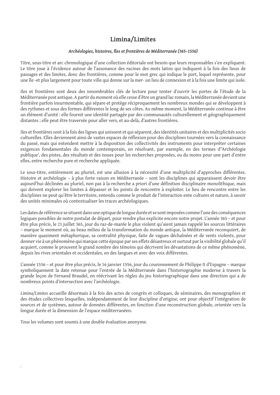# **Limina/Limites**

#### *Archéologies, histoires, îles et frontières de Méditerranée (365–1556)*

Titre, sous-titre et arc chronologique d'une collection éditoriale ont besoin que leurs responsables s'en expliquent. Le titre joue à l'évidence autour de l'assonance des racines des mots latins qui indiquent à la fois des lieux de passages et des limites, donc des frontières, comme pour le mot grec qui indique le port, lequel représente, pour une île -et plus largement pour toute ville qui donne sur la mer- un lieu de connexion et à la fois une limite qui isole.

Iles et frontières sont deux des innombrables clés de lecture pour tenter d'ouvrir les portes de l'étude de la Méditerranée post antique. A partir du moment où elle cesse d'être un grand lac romain, la Méditerranée devient une frontière parfois insurmontable, qui sépare et protège réciproquement les nombreux mondes qui se développent à des rythmes et sous des formes différentes le long de ses côtes. Au même moment, la Méditerranée continue à être un élément d'unité : elle fournit une identité partagée par des communautés culturellement et géographiquement distantes ; elle peut être traversée pour aller vers, et au-delà, d'autres frontières.

Iles et frontières sont à la fois des lignes qui unissent et qui séparent, des identités unitaires et des multiplicités socio culturelles. Elles deviennent ainsi de vastes espaces de réflexion pour des disciplines tournées vers la connaissance du passé, mais qui entendent mettre à la disposition des collectivités des instruments pour interpréter certaines exigences fondamentales du monde contemporain, en résolvant, par exemple, en des termes d''Archéologie publique', des pistes, des résultats et des issues pour les recherches proposées, ou du moins pour une part d'entre elles, entre recherche pure et recherche appliquée.

Le sous-titre, entièrement au pluriel, est une allusion à la nécessité d'une multiplicité d'approches différentes. Histoire et archéologie – à plus forte raison en Méditerranée – sont les disciplines qui apparaissent devoir être aujourd'hui déclinées au pluriel, non pas à la recherche a priori d'une définition disciplinaire monolithique, mais qui doivent explorer les limites à dépasser et les points de rencontre à exploiter. Le lieu de rencontre entre les disciplines ne peut qu'être le territoire, entendu comme le produit de l'interaction ente cultures et nature, à savoir des unités minimales où contextualiser les traces archéologiques.

Les dates de référence se situent dans une optique de longue durée et se sont imposées comme l'une des conséquences logiques possibles de notre postulat de départ, pour rendre plus explicite encore notre projet. L'année 365 – et pour être plus précis, le 21 juillet 365, jour du raz-de-marée le plus violent qu'aient jamais rappelé les sources littéraires – marque le moment où, au beau milieu de la transformation du monde antique, la Méditerranée reconquiert, de manière quasiment métaphorique, sa centralité physique, faite de vagues déchaînées et de vents violents, pour donner vie à un phénomène qui marque cette époque par ses effets désastreux et surtout par la visibilité globale qu'il acquiert, comme le prouvent le grand nombre des témoins qui décrivent les dévastations de ce même phénomène, depuis les rives orientales et occidentales, en des langues et avec des voix différentes.

L'année 1556 – et pour être plus précis, le 16 janvier 1556, jour du couronnement de Philippe II d'Espagne – marque symboliquement la date retenue pour l'entrée de la Méditerranée dans l'historiographie moderne à travers la grande leçon de Fernand Braudel, en réécrivant les règles du jeu historiographique dans une direction qui a de nombreux points d'intersection avec l'archéologie.

*Limina/Limites* accueille désormais à la fois des actes de congrès et colloques, de séminaires, des monographies et des études collectives lesquelles, indépendamment de leur discipline d'origine, ont pour objectif l'intégration de sources et de systèmes, autour de données différentes, en fonction d'une reconstruction globale, orientée vers la longue durée et la dimension de l'espace méditerranéen.

Tous les volumes sont soumis à une double évaluation anonyme.

.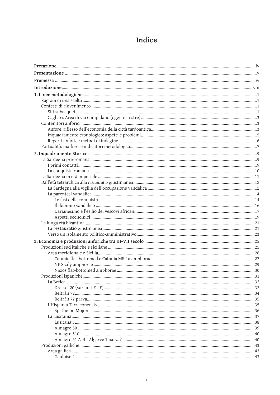# Indice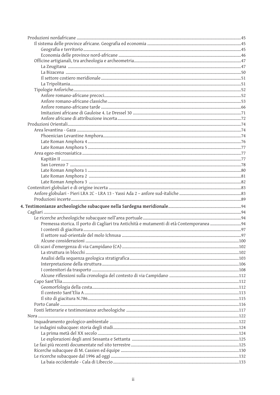| Premessa storica. Il porto di Cagliari tra Antichità e mutamenti di età Contemporanea 94 |  |
|------------------------------------------------------------------------------------------|--|
|                                                                                          |  |
|                                                                                          |  |
|                                                                                          |  |
|                                                                                          |  |
|                                                                                          |  |
|                                                                                          |  |
|                                                                                          |  |
|                                                                                          |  |
|                                                                                          |  |
|                                                                                          |  |
|                                                                                          |  |
|                                                                                          |  |
|                                                                                          |  |
|                                                                                          |  |
|                                                                                          |  |
|                                                                                          |  |
|                                                                                          |  |
|                                                                                          |  |
|                                                                                          |  |
|                                                                                          |  |
|                                                                                          |  |
|                                                                                          |  |
|                                                                                          |  |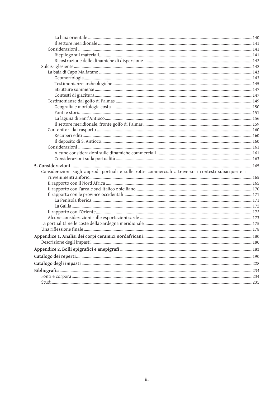| Considerazioni sugli approdi portuali e sulle rotte commerciali attraverso i contesti subacquei e i |  |
|-----------------------------------------------------------------------------------------------------|--|
|                                                                                                     |  |
|                                                                                                     |  |
|                                                                                                     |  |
|                                                                                                     |  |
|                                                                                                     |  |
|                                                                                                     |  |
|                                                                                                     |  |
|                                                                                                     |  |
|                                                                                                     |  |
|                                                                                                     |  |
|                                                                                                     |  |
|                                                                                                     |  |
|                                                                                                     |  |
|                                                                                                     |  |
|                                                                                                     |  |
|                                                                                                     |  |
|                                                                                                     |  |
|                                                                                                     |  |
|                                                                                                     |  |
|                                                                                                     |  |
|                                                                                                     |  |
|                                                                                                     |  |
|                                                                                                     |  |
|                                                                                                     |  |
|                                                                                                     |  |
|                                                                                                     |  |
|                                                                                                     |  |
|                                                                                                     |  |
|                                                                                                     |  |
|                                                                                                     |  |
|                                                                                                     |  |
|                                                                                                     |  |
|                                                                                                     |  |
|                                                                                                     |  |
|                                                                                                     |  |
|                                                                                                     |  |
|                                                                                                     |  |
|                                                                                                     |  |
|                                                                                                     |  |
|                                                                                                     |  |
|                                                                                                     |  |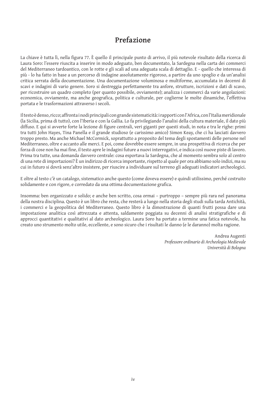# **Prefazione**

La chiave è tutta lì, nella figura 77. È quello il principale punto di arrivo, il più notevole risultato della ricerca di Laura Soro: l'essere riuscita a inserire in modo adeguato, ben documentato, la Sardegna nella carta dei commerci del Mediterraneo tardoantico, con le rotte e gli scali ad una adeguata scala di dettaglio. E - quello che interessa di più - lo ha fatto in base a un percorso di indagine assolutamente rigoroso, a partire da uno spoglio e da un'analisi critica serrata della documentazione. Una documentazione voluminosa e multiforme, accumulata in decenni di scavi e indagini di vario genere. Soro si destreggia perfettamente tra anfore, strutture, iscrizioni e dati di scavo, per ricostruire un quadro completo (per quanto possibile, ovviamente); analizza i commerci da varie angolazioni: economica, ovviamente, ma anche geografica, politica e culturale, per coglierne le molte dinamiche, l'effettiva portata e le trasformazioni attraverso i secoli.

Il testo è denso, ricco; affronta i nodi principali con grande sistematicità: i rapporti con l'Africa, con l'Italia meridionale (la Sicilia, prima di tutto), con l'Iberia e con la Gallia. Lo fa privilegiando l'analisi della cultura materiale, il dato più diffuso. E qui si avverte forte la lezione di figure centrali, veri giganti per questi studi, in nota e tra le righe: primi tra tutti John Hayes, Tina Panella e il grande studioso (e carissimo amico) Simon Keay, che ci ha lasciati davvero troppo presto. Ma anche Michael McCormick, soprattutto a proposito del tema degli spostamenti delle persone nel Mediterraneo, oltre e accanto alle merci. E poi, come dovrebbe essere sempre, in una prospettiva di ricerca che per forza di cose non ha mai fine, il testo apre le indagini future a nuovi interrogativi, e indica così nuove piste di lavoro. Prima tra tutte, una domanda davvero centrale: cosa esportava la Sardegna, che al momento sembra solo al centro di una rete di importazioni? È un indirizzo di ricerca importante, rispetto al quale per ora abbiamo solo indizi, ma su cui in futuro si dovrà senz'altro insistere, per riuscire a individuare sul terreno gli adeguati indicatori archeologici.

E oltre al testo c'è un catalogo, sistematico anche questo (come doveva essere) e quindi utilissimo, perché costruito solidamente e con rigore, e corredato da una ottima documentazione grafica.

Insomma: ben organizzato e solido; e anche ben scritto, cosa ormai – purtroppo – sempre più rara nel panorama della nostra disciplina. Questo è un libro che resta, che resterà a lungo nella storia degli studi sulla tarda Antichità, i commerci e la geopolitica del Mediterraneo. Questo libro è la dimostrazione di quanti frutti possa dare una impostazione analitica così attrezzata e attenta, saldamente poggiata su decenni di analisi stratigrafiche e di approcci quantitativi e qualitativi al dato archeologico. Laura Soro ha portato a termine una fatica notevole, ha creato uno strumento molto utile, eccellente, e sono sicuro che i risultati le danno (e le daranno) molta ragione.

> Andrea Augenti *Professore ordinario di Archeologia Medievale Università di Bologna*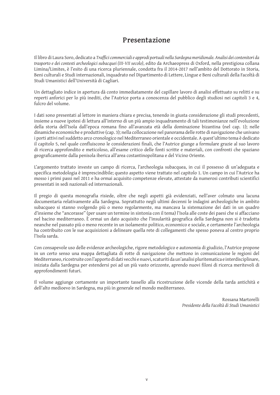# **Presentazione**

Il libro di Laura Soro, dedicato a *Traffici commerciali e approdi portuali nella Sardegna meridionale. Analisi dei contenitori da trasporto e dei contesti archeologici subacquei (III-VII secolo)*, edito da Archaeopress di Oxford, nella prestigiosa collana Limina/Limites, è l'esito di una ricerca pluriennale, condotta fra il 2014-2017 nell'ambito del Dottorato in Storia, Beni culturali e Studi internazionali, inquadrato nel Dipartimento di Lettere, Lingue e Beni culturali della Facoltà di Studi Umanistici dell'Università di Cagliari.

Un dettagliato indice in apertura dà conto immediatamente del capillare lavoro di analisi effettuato su relitti e su reperti anforici per lo più inediti, che l'Autrice porta a conoscenza del pubblico degli studiosi nei capitoli 3 e 4, fulcro del volume.

I dati sono presentati al lettore in maniera chiara e precisa, tenendo in giusta considerazione gli studi precedenti, insieme a nuove ipotesi di lettura all'interno di un più ampio inquadramento di tali testimonianze nell'evoluzione della storia dell'Isola dall'epoca romana fino all'avanzata età della dominazione bizantina (nel cap. 1); nelle dinamiche economiche e produttive (cap. 3); nella collocazione nel panorama delle rotte di navigazione che univano i porti attivi nel suddetto arco cronologico nel Mediterraneo orientale e occidentale. A quest'ultimo tema è dedicato il capitolo 5, nel quale confluiscono le considerazioni finali, che l'Autrice giunge a formulare grazie al suo lavoro di ricerca approfondito e meticoloso, all'esame critico delle fonti scritte e materiali, con confronti che spaziano geograficamente dalla penisola iberica all'area costantinopolitana e del Vicino Oriente.

L'argomento trattato investe un campo di ricerca, l'archeologia subacquea, in cui il possesso di un'adeguata e specifica metodologia è imprescindibile; questo aspetto viene trattato nel capitolo 1. Un campo in cui l'Autrice ha mosso i primi passi nel 2011 e ha ormai acquisito competenze elevate, attestate da numerosi contributi scientifici presentati in sedi nazionali ed internazionali.

Il pregio di questa monografia risiede, oltre che negli aspetti già evidenziati, nell'aver colmato una lacuna documentaria relativamente alla Sardegna. Soprattutto negli ultimi decenni le indagini archeologiche in ambito subacqueo si stanno svolgendo più o meno regolarmente, ma mancava la sistemazione dei dati in un quadro d'insieme che "ancorasse" (per usare un termine in sintonia con il tema) l'Isola alle coste dei paesi che si affacciano nel bacino mediterraneo. È ormai un dato acquisito che l'insularità geografica della Sardegna non si è tradotta neanche nel passato più o meno recente in un isolamento politico, economico e sociale, e certamente l'archeologia ha contribuito con le sue acquisizioni a delineare quella rete di collegamenti che spesso poneva al centro proprio l'Isola sarda.

Con consapevole uso delle evidenze archeologiche, rigore metodologico e autonomia di giudizio, l'Autrice propone in un certo senso una mappa dettagliata di rotte di navigazione che mettono in comunicazione le regioni del Mediterraneo, ricostruite con l'apporto di dati vecchi e nuovi, scaturiti da un'analisi pluritematica e interdisciplinare, iniziata dalla Sardegna per estendersi poi ad un più vasto orizzonte, aprendo nuovi filoni di ricerca meritevoli di approfondimenti futuri.

Il volume aggiunge certamente un importante tassello alla ricostruzione delle vicende della tarda antichità e dell'alto medioevo in Sardegna, ma più in generale nel mondo mediterraneo.

> Rossana Martorelli *Presidente della Facoltà di Studi Umanistici*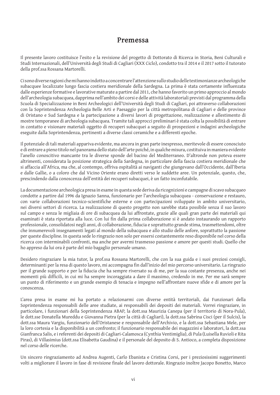### **Premessa**

Il presente lavoro costituisce l'esito e la revisione del progetto di Dottorato di Ricerca in Storia, Beni Culturali e Studi Internazionali, dell'Università degli Studi di Cagliari (XXX Ciclo), condotto tra il 2014 e il 2017 sotto il tutorato della prof.ssa Rossana Martorelli.

Ci sono diverse ragioni che mi hanno indotto a concentrare l'attenzione sullo studio delle testimonianze archeologiche subacquee localizzate lungo fascia costiera meridionale della Sardegna. La prima è stata certamente influenzata dalle esperienze formative e lavorative maturate a partire dal 2011, che hanno favorito un primo approccio al mondo dell'archeologia subacquea, dapprima nell'ambito dei corsi e delle attività laboratoriali previsti dal programma della Scuola di Specializzazione in Beni Archeologici dell'Università degli Studi di Cagliari, poi attraverso collaborazioni con la Soprintendenza Archeologia Belle Arti e Paesaggio per la città metropolitana di Cagliari e delle province di Oristano e Sud Sardegna e la partecipazione a diversi lavori di progettazione, realizzazione e allestimento di mostre temporanee di archeologia subacquea. Tramite tali approcci preliminari è stata colta la possibilità di entrare in contatto e visionare materiali oggetto di recuperi subacquei a seguito di prospezioni e indagini archeologiche eseguite dalla Soprintendenza, pertinenti a diverse classi ceramiche e a differenti epoche.

Il potenziale di tali materiali appariva evidente, ma ancora in gran parte inespresso, meritevole di essere conosciuto e di entrare a pieno titolo nel panorama dello stato dell'arte poiché, in qualche misura, costituiva in maniera evidente l'anello conoscitivo mancante tra le diverse sponde del bacino del Mediterraneo. D'altronde non poteva essere altrimenti, considerata la posizione strategica della Sardegna, in particolare della fascia costiera meridionale che si affaccia all'Africa, ma che, al contempo, offriva ospitalità ai naviganti che giungevano dall'Occidente, dall'Iberia e dalle Gallie, o a coloro che dal Vicino Oriente erano diretti verso le suddette aree. Un potenziale, questo, che, prescindendo dalla conoscenza dell'entità dei recuperi subacquei, è un fatto inconfutabile.

La documentazione archeologica presa in esame in questa sede deriva da ricognizioni e campagne di scavo subacqueo condotte a partire dal 1996 da Ignazio Sanna, funzionario per l'archeologia subacquea - conservazione e restauro, con varie collaborazioni tecnico-scientifiche esterne e con partecipazioni sviluppate in ambito universitario, nei diversi settori di ricerca. La realizzazione di questo progetto non sarebbe stata possibile senza il suo lavoro sul campo e senza le migliaia di ore di subacquea da lui affrontate, grazie alle quali gran parte dei materiali qui esaminati è stata riportata alla luce. Con lui fin dalla prima collaborazione si è andato instaurando un rapporto professionale, consolidatosi negli anni, di collaborazione, fiducia e soprattutto grande stima, trasmettendomi, oltre che innumerevoli insegnamenti legati al mondo della subacquea e allo studio delle anfore, soprattutto la passione per queste discipline. In questa sede lo ringrazio non solo per essersi costantemente reso disponibile nel corso della ricerca con interminabili confronti, ma anche per avermi trasmesso passione e amore per questi studi. Quello che ho appreso da lui ora è parte del mio bagaglio personale umano.

Desidero ringraziare la mia tutor, la prof.ssa Rossana Martorelli, che con la sua guida e i suoi preziosi consigli, determinanti per la resa di questo lavoro, mi accompagna fin dall'inizio del mio percorso universitario. La ringrazio per il grande supporto e per la fiducia che ha sempre riversato su di me, per la sua costante presenza, anche nei momenti più difficili, in cui mi ha sempre incoraggiata a dare il massimo, credendo in me. Per me sarà sempre un punto di riferimento e un grande esempio di tenacia e impegno nell'affrontare nuove sfide e di amore per la conoscenza.

L'area presa in esame mi ha portato a relazionarmi con diverse entità territoriali, dai Funzionari della Soprintendenza responsabili delle aree studiate, ai responsabili dei depositi dei materiali. Vorrei ringraziare, in particolare, i funzionari della Soprintendenza ABAP, la dott.ssa Maurizia Canepa (per il territorio di Nora-Pula), le dott.sse Donatella Mureddu e Giovanna Pietra (per la città di Cagliari), la dott.ssa Sabrina Cisci (per il Sulcis), la dott.ssa Maura Vargiu, funzionario dell'Oristanese e responsabile dell'Archivio, e la dott.ssa Sebastiana Mele, per la loro cortesia e la disponibilità a un confronto; il funzionario responsabile dei magazzini e laboratori, la dott.ssa Gianfranca Salis, e i referenti dei depositi di Cagliari-Calamosca (Cynthia Ventimiglia), di Pula (Luisella Ruvioli e Rita Piras), di Villasimius (dott.ssa Elisabetta Gaudina) e il personale del deposito di S. Antioco, a completa disposizione nel corso delle ricerche.

Un sincero ringraziamento ad Andrea Augenti, Carlo Ebanista e Cristina Corsi, per i preziosissimi suggerimenti volti a migliorare il lavoro in fase di revisione finale del lavoro dottorale. Ringrazio inoltre Jacopo Bonetto, Marco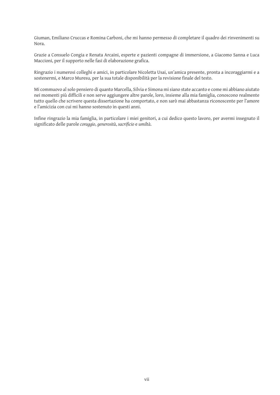Giuman, Emiliano Cruccas e Romina Carboni, che mi hanno permesso di completare il quadro dei rinvenimenti su Nora.

Grazie a Consuelo Congia e Renata Arcaini, esperte e pazienti compagne di immersione, a Giacomo Sanna e Luca Maccioni, per il supporto nelle fasi di elaborazione grafica.

Ringrazio i numerosi colleghi e amici, in particolare Nicoletta Usai, un'amica presente, pronta a incoraggiarmi e a sostenermi, e Marco Muresu, per la sua totale disponibilità per la revisione finale del testo.

Mi commuovo al solo pensiero di quanto Marcella, Silvia e Simona mi siano state accanto e come mi abbiano aiutato nei momenti più difficili e non serve aggiungere altre parole, loro, insieme alla mia famiglia, conoscono realmente tutto quello che scrivere questa dissertazione ha comportato, e non sarò mai abbastanza riconoscente per l'amore e l'amicizia con cui mi hanno sostenuto in questi anni.

Infine ringrazio la mia famiglia, in particolare i miei genitori, a cui dedico questo lavoro, per avermi insegnato il significato delle parole *coraggio*, *generosità*, *sacrificio* e *umiltà*.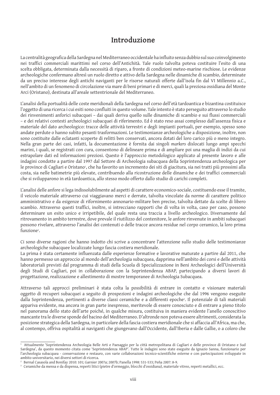# **Introduzione**

La centralità geografica della Sardegna nel Mediterraneo occidentale ha influito senza dubbio sul suo coinvolgimento nei traffici commerciali marittimi nel corso dell'Antichità. Tale ruolo talvolta poteva costituire l'esito di una scelta obbligata, determinata dalla necessità di riparo, a fronte di condizioni meteo-marine rischiose. Le evidenze archeologiche confermano altresì un ruolo diretto e attivo della Sardegna nelle dinamiche di scambio, determinate da un preciso interesse degli antichi naviganti per le risorse naturali offerte dall'isola fin dal VI Millennio a.C., nell'ambito di un fenomeno di circolazione via mare di beni primari e di merci, quali la preziosa ossidiana del Monte Arci (Oristano), destinata all'areale settentrionale del Mediterraneo.

L'analisi della portualità delle coste meridionali della Sardegna nel corso dell'età tardoantica e bizantina costituisce l'oggetto di una ricerca i cui esiti sono confluiti in questo volume. Tale intento è stato perseguito attraverso lo studio dei rinvenimenti anforici subacquei – dai quali deriva quello sulle dinamiche di scambio e sui flussi commerciali – e dei relativi contesti archeologici subacquei di riferimento. Ed è stato reso assai complesso dall'assenza fisica e materiale del dato archeologico: tracce delle attività terrestri e degli impianti portuali, per esempio, spesso sono andate perdute o hanno subìto pesanti trasformazioni. Le testimonianze archeologiche a disposizione, inoltre, non sono costituite dalle eclatanti scoperte di relitti ben conservati, ancora dotati del loro carico più o meno integro. Nella gran parte dei casi, infatti, la documentazione è fornita dai singoli *markers* dislocati lungo ampi specchi marini, i quali, se registrati con cura, consentono di delineare prima e di ampliare poi una maglia di indizi da cui estrapolare dati ed informazioni preziosi. Questo è l'approccio metodologico applicato al presente lavoro e alle indagini condotte a partire dal 1997 dal Settore di Archeologia subacquea della Soprintendenza archeologica per le province di Cagliari e Oristano<sup>,</sup>, che ha favorito un incremento dei siti di giacitura, sia nei tratti più prossimi alla costa, sia nelle batimetrie più elevate, contribuendo alla ricostruzione delle dinamiche e dei traffici commerciali che si svilupparono in età tardoantica, allo stesso modo offerto dallo studio di carichi completi.

L'analisi delle anfore si lega indissolubilmente ad aspetti di carattere economico-sociale, costituendo esse il tramite, il veicolo materiale attraverso cui viaggiavano merci e derrate, talvolta vincolate da norme di carattere politico amministrativo e da esigenze di rifornimento annonario-militare ben precise, talvolta dettate da scelte di libero scambio. Attraverso questi traffici, inoltre, si intrecciano rapporti che di volta in volta, caso per caso, possono determinare un esito unico e irripetibile, del quale resta una traccia a livello archeologico. Diversamente dal ritrovamento in ambito terrestre, dove prevale il riutilizzo del contenitore, le anfore rinvenute in ambiti subacquei possono rivelare, attraverso l'analisi dei contenuti o delle tracce ancora residue nel corpo ceramico, la loro prima funzione<sup>2</sup>.

Ci sono diverse ragioni che hanno indotto chi scrive a concentrare l'attenzione sullo studio delle testimonianze archeologiche subacquee localizzate lungo fascia costiera meridionale.

La prima è stata certamente influenzata dalle esperienze formative e lavorative maturate a partire dal 2011, che hanno permesso un approccio al mondo dell'archeologia subacquea, dapprima nell'ambito dei corsi e delle attività laboratoriali previsti dal programma di studi della Scuola di Specializzazione in Beni Archeologici dell'Università degli Studi di Cagliari, poi in collaborazione con la Soprintendenza ABAP, partecipando a diversi lavori di progettazione, realizzazione e allestimento di mostre temporanee di Archeologia Subacquea.

Attraverso tali approcci preliminari è stata colta la possibilità di entrare in contatto e visionare materiali oggetto di recuperi subacquei a seguito di prospezioni e indagini archeologiche che dal 1996 vengono eseguite dalla Soprintendenza, pertinenti a diverse classi ceramiche e a differenti epoche<sup>3</sup>. Il potenziale di tali materiali appariva evidente, ma ancora in gran parte inespresso, meritevole di essere conosciuto e di entrare a pieno titolo nel panorama dello stato dell'arte poiché, in qualche misura, costituiva in maniera evidente l'anello conoscitivo mancante tra le diverse sponde del bacino del Mediterraneo. D'altronde non poteva essere altrimenti, considerata la posizione strategica della Sardegna, in particolare della fascia costiera meridionale che si affaccia all'Africa, ma che, al contempo, offriva ospitalità ai naviganti che giungevano dall'Occidente, dall'Iberia e dalle Gallie, o a coloro che

 $^{\rm ^{\rm 1}}$  Attualmente 'Soprintendenza Archeologia Belle Arti e Paesaggio per la città metropolitana di Cagliari e delle province di Oristano e Sud Sardegna', da questo momento citata come 'Soprintendenza ABAP'. Tutte le indagini sono state eseguite da Ignazio Sanna, funzionario per l'archeologia subacquea - conservazione e restauro, con varie collaborazioni tecnico-scientifiche esterne e con partecipazioni sviluppate in ambito universitario, nei diversi settori di ricerca.

<sup>2</sup>Bernal Casasola and Bonifay 2010: 101; Garnier 2007a; 2007b; Panella 1998: 531-533; Peña 2007: 8-9.

<sup>3</sup> Ceramiche da mensa e da dispensa, reperti litici (pietre d'ormeggio, blocchi d'ossidiana), materiale vitreo, reperti metallici, ecc.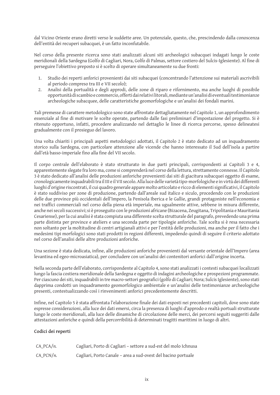dal Vicino Oriente erano diretti verso le suddette aree. Un potenziale, questo, che, prescindendo dalla conoscenza dell'entità dei recuperi subacquei, è un fatto inconfutabile.

Nel corso della presente ricerca sono stati analizzati alcuni siti archeologici subacquei indagati lungo le coste meridionali della Sardegna (Golfo di Cagliari, Nora, Golfo di Palmas, settore costiero del Sulcis-Iglesiente). Al fine di perseguire l'obiettivo preposto si è scelto di operare simultaneamente su due fronti:

- 1. Studio dei reperti anforici provenienti dai siti subacquei (concentrando l'attenzione sui materiali ascrivibili al periodo compreso tra III e VII secolo);
- 2. Analisi della portualità e degli approdi, delle zone di riparo e rifornimento, ma anche luoghi di possibile opportunità di scambio e commercio, offerti dai relativi litorali, mediante un'analisi di eventuali testimonianze archeologiche subacquee, delle caratteristiche geomorfologiche e un'analisi dei fondali marini.

Tali premesse di carattere metodologico sono state affrontate dettagliatamente nel Capitolo 1, un approfondimento essenziale al fine di motivare le scelte operate, partendo dalle fasi preliminari d'impostazione del progetto. Si è ritenuto opportuno, infatti, procedere analizzando nel dettaglio le linee di ricerca percorse, spesso delineatesi gradualmente con il prosieguo del lavoro.

Una volta chiariti i principali aspetti metodologici adottati, il Capitolo 2 è stato dedicato ad un inquadramento storico sulla Sardegna, con particolare attenzione alle vicende che hanno interessato il Sud dell'isola a partire dall'età basso-imperiale fino alla fine del VII secolo.

Il corpo centrale dell'elaborato è stato strutturato in due parti principali, corrispondenti ai Capitoli 3 e 4, apparentemente slegate fra loro ma, come si comprenderà nel corso della lettura, strettamente connesse. Il Capitolo 3 è stato dedicato all'analisi delle produzioni anforiche provenienti dai siti di giacitura subacquei oggetto di esame, cronologicamente inquadrabili tra il III e il VII secolo. Alla luce delle varietà tipo-morfologiche e in virtù dei differenti luoghi d'origine riscontrati, il cui quadro generale appare molto articolato e ricco di elementi significativi, il Capitolo è stato suddiviso per zone di produzione, partendo dall'areale sud italico e siculo, procedendo con le produzioni delle due province più occidentali dell'Impero, la Penisola Iberica e le Gallie, grandi protagoniste nell'economia e nei traffici commerciali nel corso della piena età imperiale, ma ugualmente attive, sebbene in misura differente, anche nei secoli successivi; si è proseguito con le produzioni africane (Bizacena, Zeugitana, Tripolitania e Mauritania Cesariense), per la cui analisi è stata compiuta una differente scelta strutturale del paragrafo, prevedendo una prima parte distinta per province e ateliers e una seconda parte per tipologie anforiche. Tale scelta si è resa necessaria non soltanto per la moltitudine di centri artigianali attivi e per l'entità delle produzioni, ma anche per il fatto che i medesimi tipi morfologici sono stati prodotti in regioni differenti, impedendo quindi di seguire il criterio adottato nel corso dell'analisi delle altre produzioni anforiche.

Una sezione è stata dedicata, infine, alle produzioni anforiche provenienti dal versante orientale dell'Impero (area levantina ed egeo-microasiatica), per concludere con un'analisi dei contenitori anforici dall'origine incerta.

Nella seconda parte dell'elaborato, corrispondente al Capitolo 4, sono stati analizzati i contesti subacquei localizzati lungo la fascia costiera meridionale della Sardegna e oggetto di indagini archeologiche e prospezioni programmate. Per ciascuno dei siti, inquadrabili in tre macro-settori geografici (golfo di Cagliari; Nora; Sulcis Iglesiente), sono stati dapprima condotti un inquadramento geomorfologico ambientale e un'analisi delle testimonianze archeologiche presenti, contestualizzando così i rinvenimenti anforici precedentemente descritti.

Infine, nel Capitolo 5 è stata affrontata l'elaborazione finale dei dati esposti nei precedenti capitoli, dove sono state espresse considerazioni, alla luce dei dati emersi, circa la presenza di luoghi d'approdo o realtà portuali strutturate lungo le coste meridionali, alla luce delle dinamiche di circolazione delle merci, dei percorsi seguiti suggeriti dalle attestazioni anforiche e quindi della percorribilità di determinati tragitti marittimi in luogo di altri.

#### **Codici dei reperti**

| $CA_PCA/n$ . | Cagliari, Porto di Cagliari - settore a sud-est del molo Ichnusa |
|--------------|------------------------------------------------------------------|
| $CA_PCN/n.$  | Cagliari, Porto Canale - area a sud-ovest del bacino portuale    |